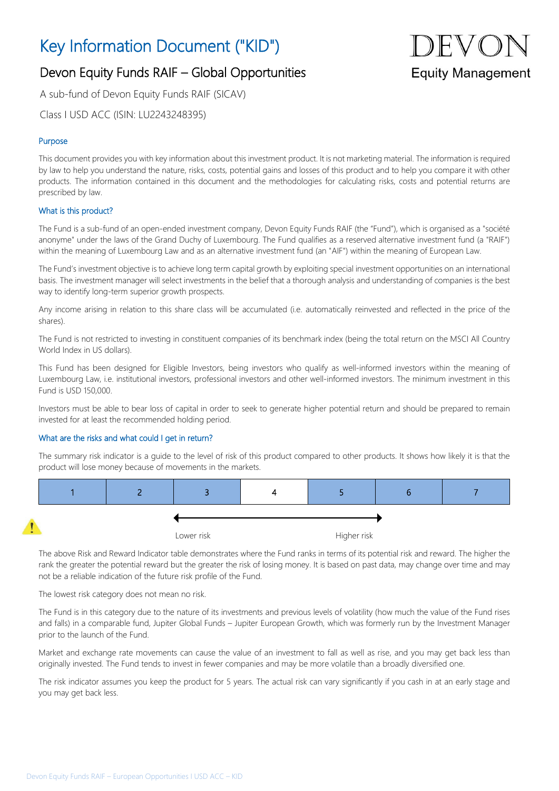## Key Information Document ("KID")

# **Equity Management**

### Devon Equity Funds RAIF – Global Opportunities

A sub-fund of Devon Equity Funds RAIF (SICAV)

Class I USD ACC (ISIN: LU2243248395)

#### Purpose

This document provides you with key information about this investment product. It is not marketing material. The information is required by law to help you understand the nature, risks, costs, potential gains and losses of this product and to help you compare it with other products. The information contained in this document and the methodologies for calculating risks, costs and potential returns are prescribed by law.

#### What is this product?

The Fund is a sub-fund of an open-ended investment company, Devon Equity Funds RAIF (the "Fund"), which is organised as a "société anonyme" under the laws of the Grand Duchy of Luxembourg. The Fund qualifies as a reserved alternative investment fund (a "RAIF") within the meaning of Luxembourg Law and as an alternative investment fund (an "AIF") within the meaning of European Law.

The Fund's investment objective is to achieve long term capital growth by exploiting special investment opportunities on an international basis. The investment manager will select investments in the belief that a thorough analysis and understanding of companies is the best way to identify long-term superior growth prospects.

Any income arising in relation to this share class will be accumulated (i.e. automatically reinvested and reflected in the price of the shares).

The Fund is not restricted to investing in constituent companies of its benchmark index (being the total return on the MSCI All Country World Index in US dollars).

This Fund has been designed for Eligible Investors, being investors who qualify as well-informed investors within the meaning of Luxembourg Law, i.e. institutional investors, professional investors and other well-informed investors. The minimum investment in this Fund is USD 150,000.

Investors must be able to bear loss of capital in order to seek to generate higher potential return and should be prepared to remain invested for at least the recommended holding period.

#### What are the risks and what could I get in return?

The summary risk indicator is a guide to the level of risk of this product compared to other products. It shows how likely it is that the product will lose money because of movements in the markets.



The above Risk and Reward Indicator table demonstrates where the Fund ranks in terms of its potential risk and reward. The higher the rank the greater the potential reward but the greater the risk of losing money. It is based on past data, may change over time and may not be a reliable indication of the future risk profile of the Fund.

The lowest risk category does not mean no risk.

The Fund is in this category due to the nature of its investments and previous levels of volatility (how much the value of the Fund rises and falls) in a comparable fund, Jupiter Global Funds – Jupiter European Growth, which was formerly run by the Investment Manager prior to the launch of the Fund.

Market and exchange rate movements can cause the value of an investment to fall as well as rise, and you may get back less than originally invested. The Fund tends to invest in fewer companies and may be more volatile than a broadly diversified one.

The risk indicator assumes you keep the product for 5 years. The actual risk can vary significantly if you cash in at an early stage and you may get back less.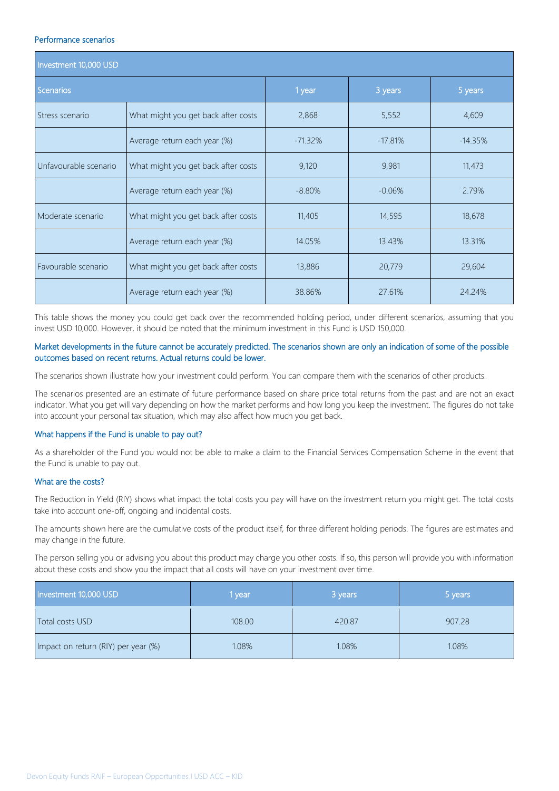#### Performance scenarios

| Investment 10,000 USD |                                     |           |           |           |  |
|-----------------------|-------------------------------------|-----------|-----------|-----------|--|
| Scenarios             |                                     | 1 year    | 3 years   | 5 years   |  |
| Stress scenario       | What might you get back after costs | 2,868     | 5,552     | 4,609     |  |
|                       | Average return each year (%)        | $-71.32%$ | $-17.81%$ | $-14.35%$ |  |
| Unfavourable scenario | What might you get back after costs | 9,120     | 9,981     | 11,473    |  |
|                       | Average return each year (%)        | $-8.80%$  | $-0.06%$  | 2.79%     |  |
| Moderate scenario     | What might you get back after costs | 11,405    | 14,595    | 18,678    |  |
|                       | Average return each year (%)        | 14.05%    | 13.43%    | 13.31%    |  |
| Favourable scenario   | What might you get back after costs | 13,886    | 20,779    | 29,604    |  |
|                       | Average return each year (%)        | 38.86%    | 27.61%    | 24.24%    |  |

This table shows the money you could get back over the recommended holding period, under different scenarios, assuming that you invest USD 10,000. However, it should be noted that the minimum investment in this Fund is USD 150,000.

#### Market developments in the future cannot be accurately predicted. The scenarios shown are only an indication of some of the possible outcomes based on recent returns. Actual returns could be lower.

The scenarios shown illustrate how your investment could perform. You can compare them with the scenarios of other products.

The scenarios presented are an estimate of future performance based on share price total returns from the past and are not an exact indicator. What you get will vary depending on how the market performs and how long you keep the investment. The figures do not take into account your personal tax situation, which may also affect how much you get back.

#### What happens if the Fund is unable to pay out?

As a shareholder of the Fund you would not be able to make a claim to the Financial Services Compensation Scheme in the event that the Fund is unable to pay out.

#### What are the costs?

The Reduction in Yield (RIY) shows what impact the total costs you pay will have on the investment return you might get. The total costs take into account one-off, ongoing and incidental costs.

The amounts shown here are the cumulative costs of the product itself, for three different holding periods. The figures are estimates and may change in the future.

The person selling you or advising you about this product may charge you other costs. If so, this person will provide you with information about these costs and show you the impact that all costs will have on your investment over time.

| Investment 10,000 USD               | vear   | 3 years | 5 years |
|-------------------------------------|--------|---------|---------|
| Total costs USD                     | 108.00 | 420.87  | 907.28  |
| Impact on return (RIY) per year (%) | 1.08%  | 1.08%   | 1.08%   |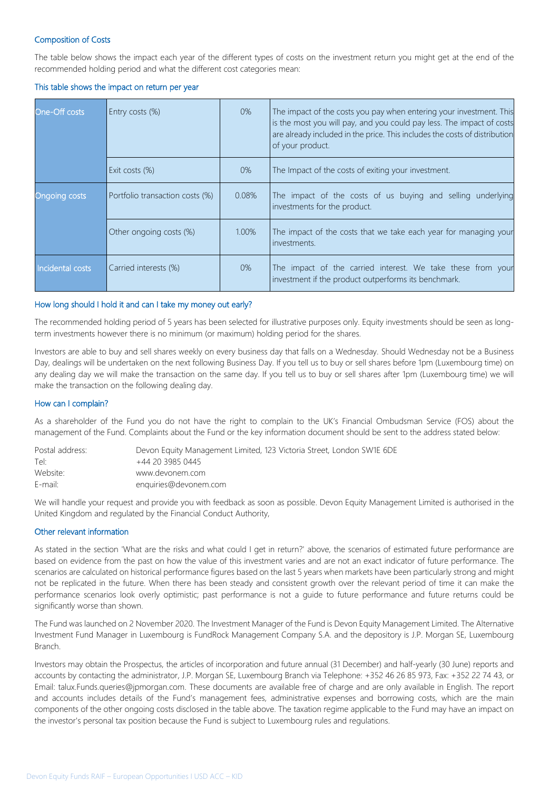#### Composition of Costs

The table below shows the impact each year of the different types of costs on the investment return you might get at the end of the recommended holding period and what the different cost categories mean:

#### This table shows the impact on return per year

| One-Off costs        | Entry costs (%)                 | 0%    | The impact of the costs you pay when entering your investment. This<br>is the most you will pay, and you could pay less. The impact of costs<br>are already included in the price. This includes the costs of distribution<br>of your product. |
|----------------------|---------------------------------|-------|------------------------------------------------------------------------------------------------------------------------------------------------------------------------------------------------------------------------------------------------|
|                      | Exit costs (%)                  | $0\%$ | The Impact of the costs of exiting your investment.                                                                                                                                                                                            |
| <b>Ongoing costs</b> | Portfolio transaction costs (%) | 0.08% | The impact of the costs of us buying and selling underlying<br>investments for the product.                                                                                                                                                    |
|                      | Other ongoing costs (%)         | 1.00% | The impact of the costs that we take each year for managing your<br>investments.                                                                                                                                                               |
| Incidental costs     | Carried interests (%)           | 0%    | The impact of the carried interest. We take these from your<br>investment if the product outperforms its benchmark.                                                                                                                            |

#### How long should I hold it and can I take my money out early?

The recommended holding period of 5 years has been selected for illustrative purposes only. Equity investments should be seen as longterm investments however there is no minimum (or maximum) holding period for the shares.

Investors are able to buy and sell shares weekly on every business day that falls on a Wednesday. Should Wednesday not be a Business Day, dealings will be undertaken on the next following Business Day. If you tell us to buy or sell shares before 1pm (Luxembourg time) on any dealing day we will make the transaction on the same day. If you tell us to buy or sell shares after 1pm (Luxembourg time) we will make the transaction on the following dealing day.

#### How can I complain?

As a shareholder of the Fund you do not have the right to complain to the UK's Financial Ombudsman Service (FOS) about the management of the Fund. Complaints about the Fund or the key information document should be sent to the address stated below:

| Postal address: | Devon Equity Management Limited, 123 Victoria Street, London SW1E 6DE |
|-----------------|-----------------------------------------------------------------------|
| Tel:            | +44 20 3985 0445                                                      |
| Website:        | www.devonem.com                                                       |
| E-mail:         | enquiries@devonem.com                                                 |

We will handle your request and provide you with feedback as soon as possible. Devon Equity Management Limited is authorised in the United Kingdom and regulated by the Financial Conduct Authority,

#### Other relevant information

As stated in the section 'What are the risks and what could I get in return?' above, the scenarios of estimated future performance are based on evidence from the past on how the value of this investment varies and are not an exact indicator of future performance. The scenarios are calculated on historical performance figures based on the last 5 years when markets have been particularly strong and might not be replicated in the future. When there has been steady and consistent growth over the relevant period of time it can make the performance scenarios look overly optimistic; past performance is not a guide to future performance and future returns could be significantly worse than shown.

The Fund was launched on 2 November 2020. The Investment Manager of the Fund is Devon Equity Management Limited. The Alternative Investment Fund Manager in Luxembourg is FundRock Management Company S.A. and the depository is J.P. Morgan SE, Luxembourg Branch.

Investors may obtain the Prospectus, the articles of incorporation and future annual (31 December) and half-yearly (30 June) reports and accounts by contacting the administrator, J.P. Morgan SE, Luxembourg Branch via Telephone: +352 46 26 85 973, Fax: +352 22 74 43, or Email: talux.Funds.queries@jpmorgan.com. These documents are available free of charge and are only available in English. The report and accounts includes details of the Fund's management fees, administrative expenses and borrowing costs, which are the main components of the other ongoing costs disclosed in the table above. The taxation regime applicable to the Fund may have an impact on the investor's personal tax position because the Fund is subject to Luxembourg rules and regulations.